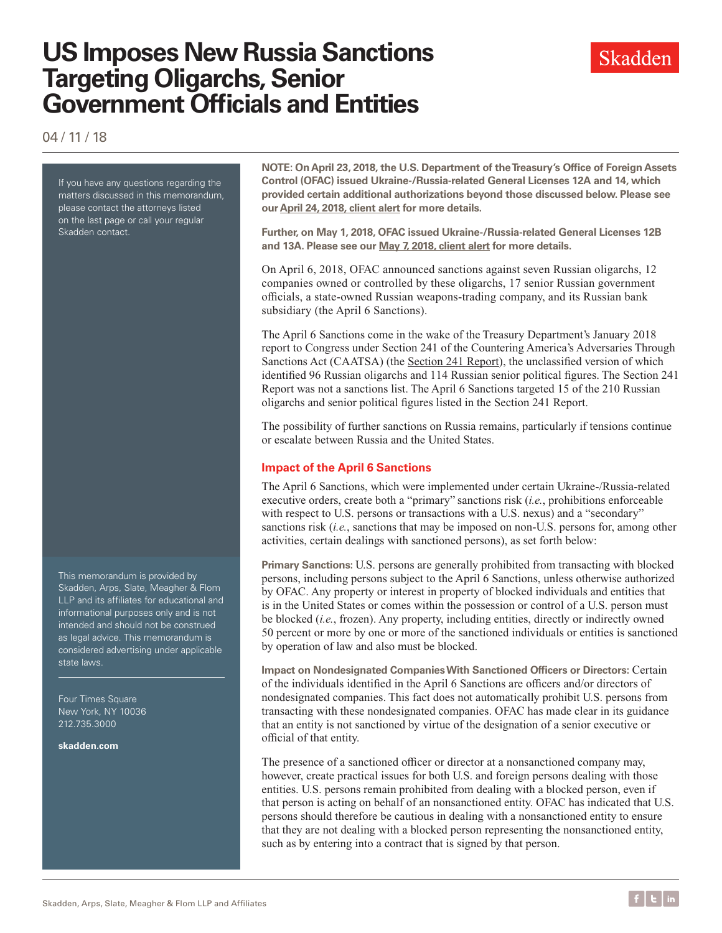# **US Imposes New Russia Sanctions Targeting Oligarchs, Senior Government Officials and Entities**

Skadden

04 / 11 / 18

If you have any questions regarding the matters discussed in this memorandum, please contact the attorneys listed on the last page or call your regular Skadden contact.

This memorandum is provided by Skadden, Arps, Slate, Meagher & Flom LLP and its affiliates for educational and informational purposes only and is not intended and should not be construed as legal advice. This memorandum is considered advertising under applicable state laws.

Four Times Square New York, NY 10036 212.735.3000

**skadden.com**

**NOTE: On April 23, 2018, the U.S. Department of the Treasury's Office of Foreign Assets Control (OFAC) issued Ukraine-/Russia-related General Licenses 12A and 14, which provided certain additional authorizations beyond those discussed below. Please see our [April 24, 2018, client alert](https://www.skadden.com/insights/publications/2018/04/ofac-issues-new-general-licenses) for more details.**

**Further, on May 1, 2018, OFAC issued Ukraine-/Russia-related General Licenses 12B and 13A. Please see our [May 7, 2018, client alert](https://www.skadden.com/insights/publications/2018/05/ofac-updates-two-general-licenses) for more details.**

On April 6, 2018, OFAC announced sanctions against seven Russian oligarchs, 12 companies owned or controlled by these oligarchs, 17 senior Russian government officials, a state-owned Russian weapons-trading company, and its Russian bank subsidiary (the April 6 Sanctions).

The April 6 Sanctions come in the wake of the Treasury Department's January 2018 report to Congress under Section 241 of the Countering America's Adversaries Through Sanctions Act (CAATSA) (the [Section 241 Report](http://prod-upp-image-read.ft.com/40911a30-057c-11e8-9650-9c0ad2d7c5b5)), the unclassified version of which identified 96 Russian oligarchs and 114 Russian senior political figures. The Section 241 Report was not a sanctions list. The April 6 Sanctions targeted 15 of the 210 Russian oligarchs and senior political figures listed in the Section 241 Report.

The possibility of further sanctions on Russia remains, particularly if tensions continue or escalate between Russia and the United States.

### **Impact of the April 6 Sanctions**

The April 6 Sanctions, which were implemented under certain Ukraine-/Russia-related executive orders, create both a "primary" sanctions risk (*i.e.*, prohibitions enforceable with respect to U.S. persons or transactions with a U.S. nexus) and a "secondary" sanctions risk (*i.e.*, sanctions that may be imposed on non-U.S. persons for, among other activities, certain dealings with sanctioned persons), as set forth below:

**Primary Sanctions:** U.S. persons are generally prohibited from transacting with blocked persons, including persons subject to the April 6 Sanctions, unless otherwise authorized by OFAC. Any property or interest in property of blocked individuals and entities that is in the United States or comes within the possession or control of a U.S. person must be blocked (*i.e.*, frozen). Any property, including entities, directly or indirectly owned 50 percent or more by one or more of the sanctioned individuals or entities is sanctioned by operation of law and also must be blocked.

**Impact on Nondesignated Companies With Sanctioned Officers or Directors:** Certain of the individuals identified in the April 6 Sanctions are officers and/or directors of nondesignated companies. This fact does not automatically prohibit U.S. persons from transacting with these nondesignated companies. OFAC has made clear in its guidance that an entity is not sanctioned by virtue of the designation of a senior executive or official of that entity.

The presence of a sanctioned officer or director at a nonsanctioned company may, however, create practical issues for both U.S. and foreign persons dealing with those entities. U.S. persons remain prohibited from dealing with a blocked person, even if that person is acting on behalf of an nonsanctioned entity. OFAC has indicated that U.S. persons should therefore be cautious in dealing with a nonsanctioned entity to ensure that they are not dealing with a blocked person representing the nonsanctioned entity, such as by entering into a contract that is signed by that person.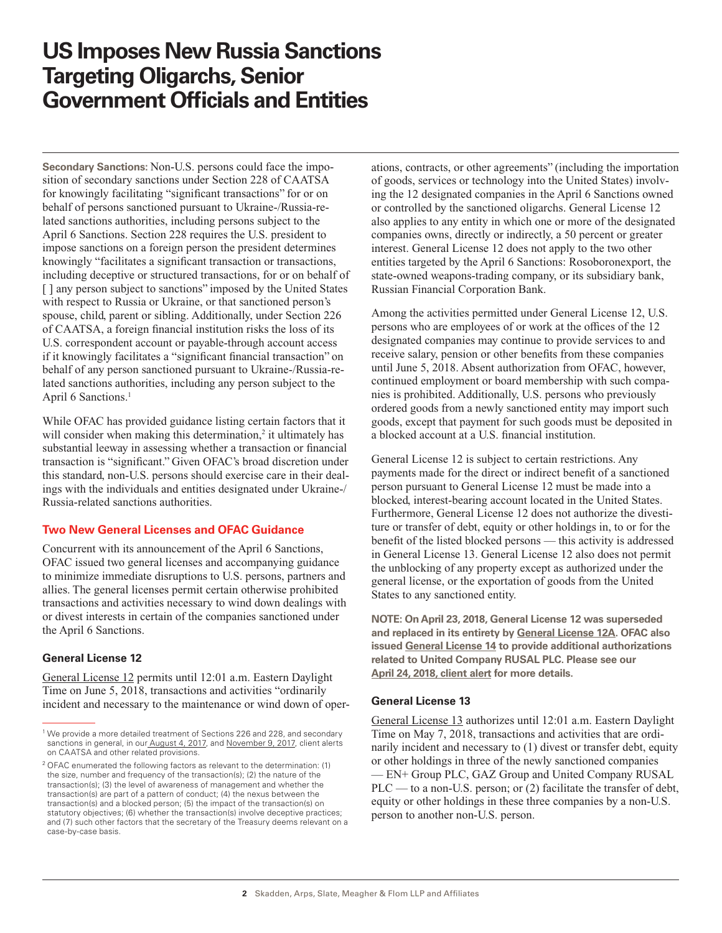## **US Imposes New Russia Sanctions Targeting Oligarchs, Senior Government Officials and Entities**

**Secondary Sanctions:** Non-U.S. persons could face the imposition of secondary sanctions under Section 228 of CAATSA for knowingly facilitating "significant transactions" for or on behalf of persons sanctioned pursuant to Ukraine-/Russia-related sanctions authorities, including persons subject to the April 6 Sanctions. Section 228 requires the U.S. president to impose sanctions on a foreign person the president determines knowingly "facilitates a significant transaction or transactions, including deceptive or structured transactions, for or on behalf of [ ] any person subject to sanctions" imposed by the United States with respect to Russia or Ukraine, or that sanctioned person's spouse, child, parent or sibling. Additionally, under Section 226 of CAATSA, a foreign financial institution risks the loss of its U.S. correspondent account or payable-through account access if it knowingly facilitates a "significant financial transaction" on behalf of any person sanctioned pursuant to Ukraine-/Russia-related sanctions authorities, including any person subject to the April 6 Sanctions.<sup>1</sup>

While OFAC has provided guidance listing certain factors that it will consider when making this determination, $2$  it ultimately has substantial leeway in assessing whether a transaction or financial transaction is "significant." Given OFAC's broad discretion under this standard, non-U.S. persons should exercise care in their dealings with the individuals and entities designated under Ukraine-/ Russia-related sanctions authorities.

### **Two New General Licenses and OFAC Guidance**

Concurrent with its announcement of the April 6 Sanctions, OFAC issued two general licenses and accompanying guidance to minimize immediate disruptions to U.S. persons, partners and allies. The general licenses permit certain otherwise prohibited transactions and activities necessary to wind down dealings with or divest interests in certain of the companies sanctioned under the April 6 Sanctions.

#### **General License 12**

[General License 12](https://www.treasury.gov/resource-center/sanctions/Programs/Documents/ukraine_gl12.pdf) permits until 12:01 a.m. Eastern Daylight Time on June 5, 2018, transactions and activities "ordinarily incident and necessary to the maintenance or wind down of operations, contracts, or other agreements" (including the importation of goods, services or technology into the United States) involving the 12 designated companies in the April 6 Sanctions owned or controlled by the sanctioned oligarchs. General License 12 also applies to any entity in which one or more of the designated companies owns, directly or indirectly, a 50 percent or greater interest. General License 12 does not apply to the two other entities targeted by the April 6 Sanctions: Rosoboronexport, the state-owned weapons-trading company, or its subsidiary bank, Russian Financial Corporation Bank.

Among the activities permitted under General License 12, U.S. persons who are employees of or work at the offices of the 12 designated companies may continue to provide services to and receive salary, pension or other benefits from these companies until June 5, 2018. Absent authorization from OFAC, however, continued employment or board membership with such companies is prohibited. Additionally, U.S. persons who previously ordered goods from a newly sanctioned entity may import such goods, except that payment for such goods must be deposited in a blocked account at a U.S. financial institution.

General License 12 is subject to certain restrictions. Any payments made for the direct or indirect benefit of a sanctioned person pursuant to General License 12 must be made into a blocked, interest-bearing account located in the United States. Furthermore, General License 12 does not authorize the divestiture or transfer of debt, equity or other holdings in, to or for the benefit of the listed blocked persons — this activity is addressed in General License 13. General License 12 also does not permit the unblocking of any property except as authorized under the general license, or the exportation of goods from the United States to any sanctioned entity.

**NOTE: On April 23, 2018, General License 12 was superseded and replaced in its entirety by [General License 12A](https://www.treasury.gov/resource-center/sanctions/Programs/Documents/ukraine_gl12a.pdf). OFAC also issued [General License 14](https://www.treasury.gov/resource-center/sanctions/Programs/Documents/ukraine_gl14.pdf) to provide additional authorizations related to United Company RUSAL PLC. Please see our [April 24, 2018, client alert](https://www.skadden.com/insights/publications/2018/04/ofac-issues-new-general-licenses) for more details.**

### **General License 13**

[General License 13](https://www.treasury.gov/resource-center/sanctions/Programs/Documents/ukraine_gl13.pdf) authorizes until 12:01 a.m. Eastern Daylight Time on May 7, 2018, transactions and activities that are ordinarily incident and necessary to (1) divest or transfer debt, equity or other holdings in three of the newly sanctioned companies — EN+ Group PLC, GAZ Group and United Company RUSAL PLC — to a non-U.S. person; or (2) facilitate the transfer of debt, equity or other holdings in these three companies by a non-U.S. person to another non-U.S. person.

<sup>&</sup>lt;sup>1</sup> We provide a more detailed treatment of Sections 226 and 228, and secondary sanctions in general, in ou[r August 4, 2017,](https://www.skadden.com/insights/publications/2017/08/newsanctionslawmarkssignificantincreaseussanctions) and [November 9, 2017](https://www.skadden.com/insights/publications/2017/11/trump_administration_sets_approach_new_sanctions), client alerts on CAATSA and other related provisions.

<sup>&</sup>lt;sup>2</sup> OFAC enumerated the following factors as relevant to the determination: (1) the size, number and frequency of the transaction(s); (2) the nature of the transaction(s); (3) the level of awareness of management and whether the transaction(s) are part of a pattern of conduct; (4) the nexus between the transaction(s) and a blocked person; (5) the impact of the transaction(s) on statutory objectives; (6) whether the transaction(s) involve deceptive practices; and (7) such other factors that the secretary of the Treasury deems relevant on a case-by-case basis.